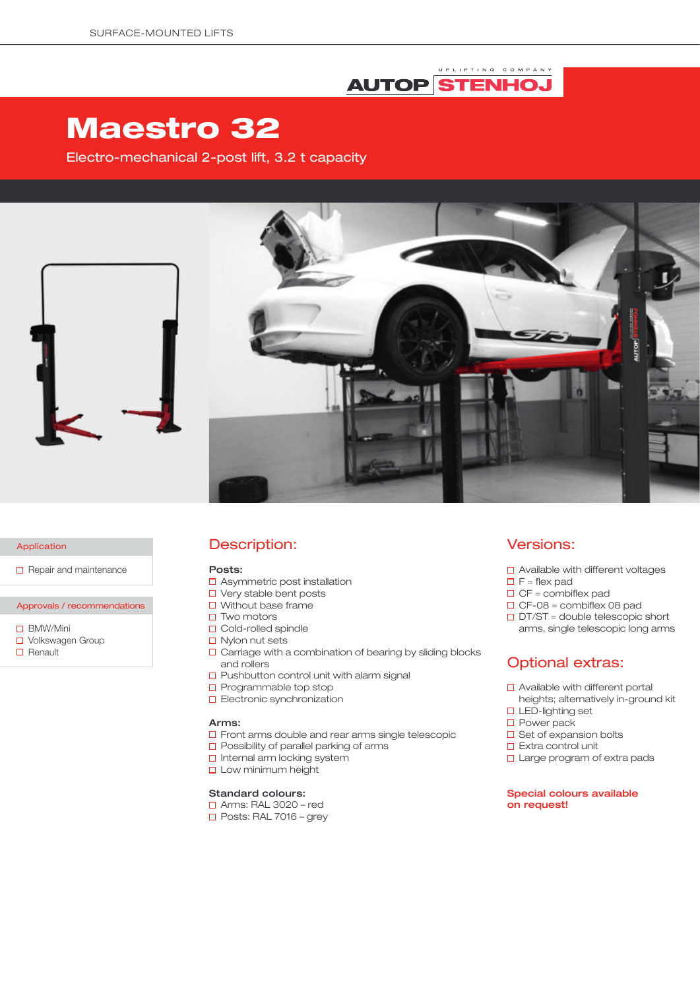# UPLIFTING COMPANY **AUTOP STENHOJ**

# Maestro 32

Electro-mechanical 2-post lift, 3.2 t capacity



#### Application

 $\Box$  Repair and maintenance

# Approvals / recommendations

- □ BMW/Mini
- □ Volkswagen Group
- $\Box$  Renault

# Description:

#### Posts:

- □ Asymmetric post installation
- $\square$  Very stable bent posts
- $\Box$  Without base frame
- $\square$  Two motors
- □ Cold-rolled spindle
- $\Box$  Nylon nut sets
- $\square$  Carriage with a combination of bearing by sliding blocks and rollers
- $\square$  Pushbutton control unit with alarm signal
- $\square$  Programmable top stop
- **D** Electronic synchronization

#### Arms:

- **D** Front arms double and rear arms single telescopic
- $\square$  Possibility of parallel parking of arms
- □ Internal arm locking system
- **Low minimum height**

#### Standard colours:

- Arms: RAL 3020 red
- $\Box$  Posts: RAL 7016 grey

### Versions:

- □ Available with different voltages
- $\Box$  F = flex pad
- $\Box$  CF = combiflex pad
- $\Box$  CF-08 = combiflex 08 pad
- $\Box$  DT/ST = double telescopic short arms, single telescopic long arms

# Optional extras:

- □ Available with different portal heights; alternatively in-ground kit
- **LED-lighting set**
- □ Power pack
- $\square$  Set of expansion bolts
- $\Box$  Extra control unit
- $\square$  Large program of extra pads

#### Special colours available on request!